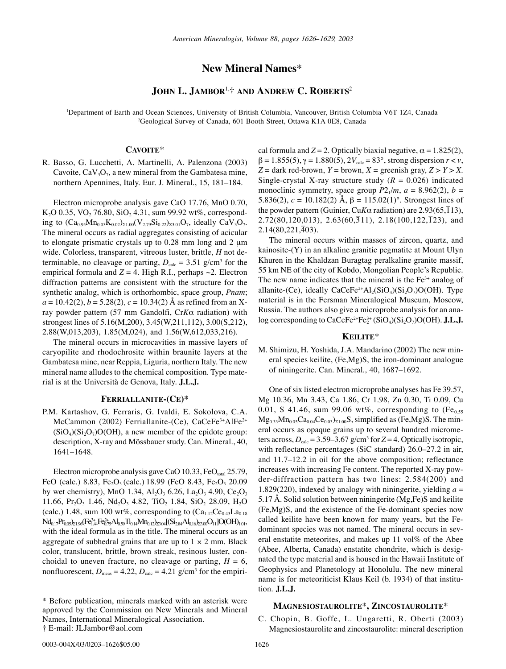# **New Mineral Names**\*

# **JOHN L. JAMBOR**1,† **AND ANDREW C. ROBERTS**<sup>2</sup>

1 Department of Earth and Ocean Sciences, University of British Columbia, Vancouver, British Columbia V6T 1Z4, Canada 2 Geological Survey of Canada, 601 Booth Street, Ottawa K1A 0E8, Canada

# **CAVOITE**\*

R. Basso, G. Lucchetti, A. Martinelli, A. Palenzona (2003) Cavoite,  $CaV<sub>3</sub>O<sub>7</sub>$ , a new mineral from the Gambatesa mine, northern Apennines, Italy. Eur. J. Mineral., 15, 181–184.

Electron microprobe analysis gave CaO 17.76, MnO 0.70, K<sub>2</sub>O 0.35, VO<sub>2</sub> 76.80, SiO<sub>2</sub> 4.31, sum 99.92 wt%, corresponding to  $(Ca_{0.95}Mn_{0.03}K_{0.02})_{\Sigma1.00}(V_{2.79}Si_{0.22})_{\Sigma3.01}O_7$ , ideally  $CaV_3O_7$ . The mineral occurs as radial aggregates consisting of acicular to elongate prismatic crystals up to 0.28 mm long and 2 µm wide. Colorless, transparent, vitreous luster, brittle, *H* not determinable, no cleavage or parting,  $D_{\text{calc}} = 3.51$  g/cm<sup>3</sup> for the empirical formula and  $Z = 4$ . High R.I., perhaps  $\sim$ 2. Electron diffraction patterns are consistent with the structure for the synthetic analog, which is orthorhombic, space group, *Pnam*;  $a = 10.42(2), b = 5.28(2), c = 10.34(2)$  Å as refined from an Xray powder pattern (57 mm Gandolfi, Cr*K*α radiation) with strongest lines of 5.16(M,200), 3.45(W,211,112), 3.00(S,212), 2.88(W,013,203), 1.85(M,024), and 1.56(W,612,033,216).

The mineral occurs in microcavities in massive layers of caryopilite and rhodochrosite within braunite layers at the Gambatesa mine, near Reppia, Liguria, northern Italy. The new mineral name alludes to the chemical composition. Type material is at the Università de Genova, Italy. **J.L.J.**

#### **FERRIALLANITE-(CE)\***

P.M. Kartashov, G. Ferraris, G. Ivaldi, E. Sokolova, C.A. McCammon (2002) Ferriallanite-(Ce), CaCeFe<sup>3+</sup>AlFe<sup>2+</sup>  $(SiO<sub>4</sub>)(Si<sub>2</sub>O<sub>7</sub>)O(OH)$ , a new member of the epidote group: description, X-ray and Mössbauer study. Can. Mineral., 40, 1641–1648.

Electron microprobe analysis gave CaO 10.33, FeO<sub>total</sub> 25.79, FeO (calc.) 8.83, Fe<sub>2</sub>O<sub>3</sub> (calc.) 18.99 (FeO 8.43, Fe<sub>2</sub>O<sub>3</sub> 20.09 by wet chemistry), MnO 1.34, Al<sub>2</sub>O<sub>3</sub> 6.26, La<sub>2</sub>O<sub>3</sub> 4.90, Ce<sub>2</sub>O<sub>3</sub> 11.66, Pr<sub>2</sub>O<sub>3</sub> 1.46, Nd<sub>2</sub>O<sub>3</sub> 4.82, TiO<sub>2</sub> 1.84, SiO<sub>2</sub> 28.09, H<sub>2</sub>O (calc.) 1.48, sum 100 wt%, corresponding to  $(Ca_{1,12}Ce_{0,43}La_{0,18})$  $\rm Nd_{0.17}Pr_{0.05} \rm _{21.96} (Fe_{1.44}^{3+}Fe_{0.75}^{2+}Al_{0.59}Ti_{0.14}Mn_{0.12} )_{23.04}[(Si_{2.84}Al_{0.16} )_{23.00}O_{11}]O(OH)_{1.01},$ with the ideal formula as in the title. The mineral occurs as an aggregate of subhedral grains that are up to  $1 \times 2$  mm. Black color, translucent, brittle, brown streak, resinous luster, conchoidal to uneven fracture, no cleavage or parting,  $H = 6$ , nonfluorescent,  $D_{\text{meas}} = 4.22$ ,  $D_{\text{calc}} = 4.21$  g/cm<sup>3</sup> for the empirical formula and  $Z = 2$ . Optically biaxial negative,  $\alpha = 1.825(2)$ ,  $β = 1.855(5)$ ,  $γ = 1.880(5)$ ,  $2V_{calc} = 83°$ , strong dispersion  $r < ν$ ,  $Z =$  dark red-brown,  $Y =$  brown,  $X =$  greenish gray,  $Z > Y > X$ . Single-crystal X-ray structure study  $(R = 0.026)$  indicated monoclinic symmetry, space group  $P2_1/m$ ,  $a = 8.962(2)$ ,  $b =$ 5.836(2),  $c = 10.182(2)$  Å,  $\beta = 115.02(1)$ °. Strongest lines of the powder pattern (Guinier, Cu*K* $\alpha$  radiation) are 2.93(65,113),  $2.72(80,120,013), 2.63(60,311), 2.18(100,122,123),$  and  $2.14(80,221,\overline{4}03)$ .

The mineral occurs within masses of zircon, quartz, and kainosite-(Y) in an alkaline granitic pegmatite at Mount Ulyn Khuren in the Khaldzan Buragtag peralkaline granite massif, 55 km NE of the city of Kobdo, Mongolian People's Republic. The new name indicates that the mineral is the  $Fe<sup>3+</sup>$  analog of allanite-(Ce), ideally  $CaCeFe^{2+}Al_2(SiO_4)(Si_2O_7)O(OH)$ . Type material is in the Fersman Mineralogical Museum, Moscow, Russia. The authors also give a microprobe analysis for an analog corresponding to CaCeFe<sup>2+</sup>Fe<sub>2</sub><sup>+</sup> (SiO<sub>4</sub>)(Si<sub>2</sub>O<sub>7</sub>)O(OH). **J.L.J.** 

## **KEILITE**\*

M. Shimizu, H. Yoshida, J.A. Mandarino (2002) The new mineral species keilite, (Fe,Mg)S, the iron-dominant analogue of niningerite. Can. Mineral., 40, 1687–1692.

One of six listed electron microprobe analyses has Fe 39.57, Mg 10.36, Mn 3.43, Ca 1.86, Cr 1.98, Zn 0.30, Ti 0.09, Cu 0.01, S 41.46, sum 99.06 wt%, corresponding to  $(Fe<sub>0.55</sub>)$  $Mg_{0.33}Mn_{0.05}Ca_{0.04}Ce_{0.03}S_{1.00}S$ , simplified as (Fe,Mg)S. The mineral occurs as opaque grains up to several hundred micrometers across,  $D_{\text{calc}} = 3.59 - 3.67$  g/cm<sup>3</sup> for  $Z = 4$ . Optically isotropic, with reflectance percentages (SiC standard) 26.0–27.2 in air, and 11.7–12.2 in oil for the above composition; reflectance increases with increasing Fe content. The reported X-ray powder-diffraction pattern has two lines: 2.584(200) and 1.829(220), indexed by analogy with niningerite, yielding  $a =$ 5.17 Å. Solid solution between niningerite (Mg,Fe)S and keilite (Fe,Mg)S, and the existence of the Fe-dominant species now called keilite have been known for many years, but the Fedominant species was not named. The mineral occurs in several enstatite meteorites, and makes up 11 vol% of the Abee (Abee, Alberta, Canada) enstatite chondrite, which is designated the type material and is housed in the Hawaii Institute of Geophysics and Planetology at Honolulu. The new mineral name is for meteoriticist Klaus Keil (b. 1934) of that institution. **J.L.J.**

#### **MAGNESIOSTAUROLITE**\***, ZINCOSTAUROLITE**\*

C. Chopin, B. Goffe, L. Ungaretti, R. Oberti (2003) Magnesiostaurolite and zincostaurolite: mineral description

<sup>\*</sup> Before publication, minerals marked with an asterisk were approved by the Commission on New Minerals and Mineral Names, International Mineralogical Association. † E-mail: JLJambor@aol.com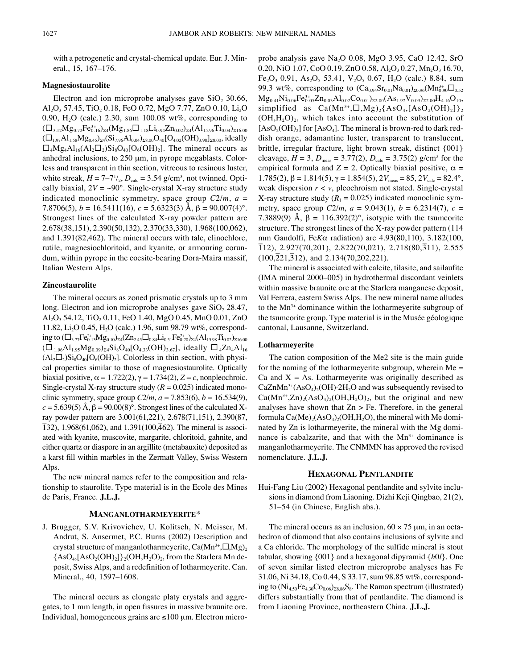with a petrogenetic and crystal-chemical update. Eur. J. Mineral., 15, 167–176.

## **Magnesiostaurolite**

Electron and ion microprobe analyses gave  $SiO<sub>2</sub>$  30.66, Al<sub>2</sub>O<sub>3</sub> 57.45, TiO<sub>2</sub> 0.18, FeO 0.72, MgO 7.77, ZnO 0.10, Li<sub>2</sub>O 0.90,  $H<sub>2</sub>O$  (calc.) 2.30, sum 100.08 wt%, corresponding to  $(\Box_{3.12}Mg_{0.72}Fe_{0.16}^{3+})_{\Sigma 4}(Mg_{1.86}\Box_{1.18}Li_{0.94}Zn_{0.02})_{\Sigma 4}(Al_{15.96}Ti_{0.04})_{\Sigma 16.00}$  $(\Box_{1.97}Al_{1.58}Mg_{0.45})_{\Sigma 4}(Si_{7.96}Al_{0.04})_{\Sigma 8.00}O_{40}[O_{4.02}(OH)_{3.98}]_{\Sigma 8.00}$ , ideally  $\Box_4Mg_4Al_{16}(Al_2\Box_2)Si_8O_{40}[O_6(OH)_2]$ . The mineral occurs as anhedral inclusions, to 250 µm, in pyrope megablasts. Colorless and transparent in thin section, vitreous to resinous luster, white streak,  $H = 7-7^{1/2}$ ,  $D_{\text{calc}} = 3.54$  g/cm<sup>3</sup>, not twinned. Optically biaxial,  $2V = \sim 90^{\circ}$ . Single-crystal X-ray structure study indicated monoclinic symmetry, space group *C*2/*m*, *a* = 7.8706(5),  $b = 16.5411(16)$ ,  $c = 5.6323(3)$  Å,  $\beta = 90.007(4)$ °. Strongest lines of the calculated X-ray powder pattern are 2.678(38,151), 2.390(50,132), 2.370(33,330), 1.968(100,062), and 1.391(82,462). The mineral occurs with talc, clinochlore, rutile, magnesiochloritoid, and kyanite, or armouring corundum, within pyrope in the coesite-bearing Dora-Maira massif, Italian Western Alps.

## **Zincostaurolite**

The mineral occurs as zoned prismatic crystals up to 3 mm long. Electron and ion microprobe analyses gave  $SiO<sub>2</sub> 28.47$ ,  $\text{Al}_2\text{O}_3$  54.12, TiO<sub>2</sub> 0.11, FeO 1.40, MgO 0.45, MnO 0.01, ZnO 11.82, Li<sub>2</sub>O 0.45, H<sub>2</sub>O (calc.) 1.96, sum 98.79 wt%, correspond- $\log$  to  $(\Box_{3.77}F$ e $^{2+}_{0.13}Mg_{0.10})_{\Sigma 4}$ (Zn<sub>2.45</sub> $\Box_{0.84}$ Li<sub>0.51</sub>Fe $^{2+}_{0.20}$ <sub>24</sub>(Al<sub>15.98</sub>Ti<sub>0.02</sub>)<sub> $_{216.00}$ </sub>  $(\Box_{1.96}Al_{1.95}Mg_{0.09})_{\Sigma}Sis_{8}O_{40}[O_{4.33}(OH)_{3.67}]$ , ideally  $\Box_{4}Zn_{4}Al_{16}$  $(Al_2\square_2)Si_8O_{40}[O_6(OH)_2]$ . Colorless in thin section, with physical properties similar to those of magnesiostaurolite. Optically biaxial positive,  $\alpha = 1.722(2)$ ,  $\gamma = 1.734(2)$ ,  $Z = c$ , nonpleochroic. Single-crystal X-ray structure study  $(R = 0.025)$  indicated monoclinic symmetry, space group  $C2/m$ ,  $a = 7.853(6)$ ,  $b = 16.534(9)$ ,  $c = 5.639(5)$  Å,  $\beta = 90.00(8)^\circ$ . Strongest lines of the calculated Xray powder pattern are 3.001(61,221), 2.678(71,151), 2.390(87,  $(3, 1, 1, 1, 1, 1)$  and  $(1, 1, 1, 1, 1, 1, 1)$  and  $(1, 1, 1, 1, 1, 1, 1, 1, 1)$  and  $(1, 0, 0, 1, 1, 1, 1)$  and  $(1, 0, 0, 1, 1, 1, 1)$ . The mineral is associated with kyanite, muscovite, margarite, chloritoid, gahnite, and either quartz or diaspore in an argillite (metabauxite) deposited as a karst fill within marbles in the Zermatt Valley, Swiss Western Alps.

The new mineral names refer to the composition and relationship to staurolite. Type material is in the Ecole des Mines de Paris, France. **J.L.J.**

## **MANGANLOTHARMEYERITE**\*

J. Brugger, S.V. Krivovichev, U. Kolitsch, N. Meisser, M. Andrut, S. Ansermet, P.C. Burns (2002) Description and crystal structure of manganlotharmeyerite, Ca(Mn $^{\hat{3}+}, \Box, {\rm Mg})_2$  ${AsO<sub>4</sub>, [AsO<sub>2</sub>(OH)<sub>2</sub>]}$ <sub>2</sub>(OH,H<sub>2</sub>O)<sub>2</sub>, from the Starlera Mn deposit, Swiss Alps, and a redefinition of lotharmeyerite. Can. Mineral., 40, 1597–1608.

The mineral occurs as elongate platy crystals and aggregates, to 1 mm length, in open fissures in massive braunite ore. Individual, homogeneous grains are ≤100 µm. Electron microprobe analysis gave Na2O 0.08, MgO 3.95, CaO 12.42, SrO 0.20, NiO 1.07, CoO 0.19, ZnO 0.58, Al<sub>2</sub>O<sub>3</sub> 0.27, Mn<sub>2</sub>O<sub>3</sub> 16.70, Fe<sub>2</sub>O<sub>3</sub> 0.91, As<sub>2</sub>O<sub>5</sub> 53.41, V<sub>2</sub>O<sub>5</sub> 0.67, H<sub>2</sub>O (calc.) 8.84, sum 99.3 wt%, corresponding to  $(Ca_{0.94}Sr_{0.01}Na_{0.01})_{\Sigma 0.96} (Mn_{0.90}^{3+1} \square_{0.52})$  ${Mg_{0.41}Ni_{0.06}Fe_{0.05}^{3+}Zn_{0.03}Al_{0.02}Co_{0.01})_{\Sigma2.00}(As_{1.97}V_{0.03})_{\Sigma2.00}H_{4.16}O_{10}},$ simplified as  $Ca(Mn^{3+},\Box,Mg)_{2}\{AsO_{4},[AsO_{2}(OH)_{2}]\}_{2}$  $(OH, H<sub>2</sub>O)<sub>2</sub>$ , which takes into account the substitution of  $[AsO<sub>2</sub>(OH)<sub>2</sub>]$  for  $[AsO<sub>4</sub>]$ . The mineral is brown-red to dark reddish orange, adamantine luster, transparent to translucent, brittle, irregular fracture, light brown streak, distinct {001} cleavage,  $H = 3$ ,  $D_{\text{meas}} = 3.77(2)$ ,  $D_{\text{calc}} = 3.75(2)$  g/cm<sup>3</sup> for the empirical formula and  $Z = 2$ . Optically biaxial positive,  $\alpha =$ 1.785(2), β = 1.814(5),  $\gamma$  = 1.854(5),  $2V_{meas}$  = 85,  $2V_{calc}$  = 82.4°, weak dispersion *r* < *v*, pleochroism not stated. Single-crystal X-ray structure study  $(R_1 = 0.025)$  indicated monoclinic symmetry, space group  $C2/m$ ,  $a = 9.043(1)$ ,  $b = 6.2314(7)$ ,  $c =$ 7.3889(9) Å,  $\beta = 116.392(2)$ °, isotypic with the tsumcorite structure. The strongest lines of the X-ray powder pattern (114 mm Gandolfi, Fe*K*α radiation) are 4.93(80,110), 3.182(100, mm Sandom, Ferra Tachardin, are 1.95(88,110), 9.162(188,<br>
112), 2.927(70,201), 2.822(70,021), 2.718(80,311), 2.555  $(100,\overline{2}21,\overline{3}12)$ , and  $2.134(70,202,221)$ .

The mineral is associated with calcite, tilasite, and sailaufite (IMA mineral 2000–005) in hydrothermal discordant veinlets within massive braunite ore at the Starlera manganese deposit, Val Ferrera, eastern Swiss Alps. The new mineral name alludes to the  $Mn^{3+}$  dominance within the lotharmeyerite subgroup of the tsumcorite group. Type material is in the Musée géologique cantonal, Lausanne, Switzerland.

#### **Lotharmeyerite**

The cation composition of the Me2 site is the main guide for the naming of the lotharmeyerite subgroup, wherein  $Me =$ Ca and  $X = As$ . Lotharmeyerite was originally described as  $CaZnMn^{3+}(AsO<sub>4</sub>)<sub>2</sub>(OH)$  2H<sub>2</sub>O and was subsequently revised to  $Ca(Mn^{3+},Zn)_{2}(AsO_{4})_{2}(OH,H_{2}O)_{2}$ , but the original and new analyses have shown that  $Zn > Fe$ . Therefore, in the general formula  $Ca(Me)_{2}(AsO<sub>4</sub>)_{2}(OH,H<sub>2</sub>O)$ , the mineral with Me dominated by Zn is lotharmeyerite, the mineral with the Mg dominance is cabalzarite, and that with the  $Mn^{3+}$  dominance is manganlotharmeyerite. The CNMMN has approved the revised nomenclature. **J.L.J.**

#### **HEXAGONAL PENTLANDITE**

Hui-Fang Liu (2002) Hexagonal pentlandite and sylvite inclusions in diamond from Liaoning. Dizhi Keji Qingbao, 21(2), 51–54 (in Chinese, English abs.).

The mineral occurs as an inclusion,  $60 \times 75$  µm, in an octahedron of diamond that also contains inclusions of sylvite and a Ca chloride. The morphology of the sulfide mineral is stout tabular, showing {001} and a hexagonal dipyramid {*h*0*l*}. One of seven similar listed electron microprobe analyses has Fe 31.06, Ni 34.18, Co 0.44, S 33.17, sum 98.85 wt%, corresponding to  $(Ni_{4.50}Fe_{4.30}Co_{0.06})_{28.86}S_8$ . The Raman spectrum (illustrated) differs substantially from that of pentlandite. The diamond is from Liaoning Province, northeastern China. **J.L.J.**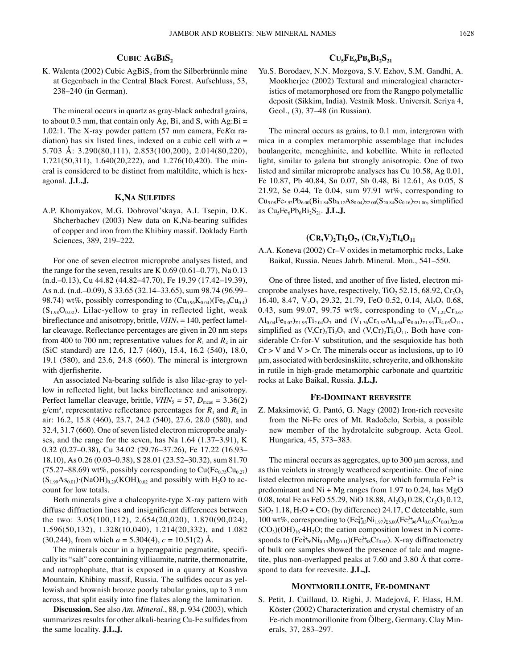## **CUBIC AGBIS2**

K. Walenta (2002) Cubic  $AgBiS<sub>2</sub>$  from the Silberbrünnle mine at Gegenbach in the Central Black Forest. Aufschluss, 53, 238–240 (in German).

The mineral occurs in quartz as gray-black anhedral grains, to about 0.3 mm, that contain only Ag, Bi, and S, with  $Ag:Bi =$ 1.02:1. The X-ray powder pattern (57 mm camera, Fe*K*α radiation) has six listed lines, indexed on a cubic cell with  $a =$ 5.703 Å: 3.290(80,111), 2.853(100,200), 2.014(80,220), 1.721(50,311), 1.640(20,222), and 1.276(10,420). The mineral is considered to be distinct from maltildite, which is hexagonal. **J.L.J.**

## **K,NA SULFIDES**

A.P. Khomyakov, M.G. Dobrovol'skaya, A.I. Tsepin, D.K. Shcherbachev (2003) New data on K,Na-bearing sulfides of copper and iron from the Khibiny massif. Doklady Earth Sciences, 389, 219–222.

For one of seven electron microprobe analyses listed, and the range for the seven, results are K 0.69 (0.61–0.77), Na 0.13 (n.d.–0.13), Cu 44.82 (44.82–47.70), Fe 19.39 (17.42–19.39), As n.d. (n.d.–0.09), S 33.65 (32.14–33.65), sum 98.74 (96.99– 98.74) wt%, possibly corresponding to  $(Cu_{0.96}K_{0.04})$ (Fe<sub>0.6</sub>Cu<sub>0.4</sub>)  $(S<sub>1.98</sub>O<sub>0.02</sub>)$ . Lilac-yellow to gray in reflected light, weak bireflectance and anisotropy, brittle,  $VHN<sub>5</sub> = 140$ , perfect lamellar cleavage. Reflectance percentages are given in 20 nm steps from 400 to 700 nm; representative values for  $R_1$  and  $R_2$  in air (SiC standard) are 12.6, 12.7 (460), 15.4, 16.2 (540), 18.0, 19.1 (580), and 23.6, 24.8 (660). The mineral is intergrown with djerfisherite.

An associated Na-bearing sulfide is also lilac-gray to yellow in reflected light, but lacks bireflectance and anisotropy. Perfect lamellar cleavage, brittle,  $VHN_5 = 57$ ,  $D_{meas} = 3.36(2)$  $g/cm<sup>3</sup>$ , representative reflectance percentages for  $R_1$  and  $R_2$  in air: 16.2, 15.8 (460), 23.7, 24.2 (540), 27.6, 28.0 (580), and  $32.4, 31.7$  (660). One of seven listed electron microprobe analyses, and the range for the seven, has Na 1.64 (1.37–3.91), K 0.32 (0.27–0.38), Cu 34.02 (29.76–37.26), Fe 17.22 (16.93– 18.10), As 0.26 (0.03–0.38), S 28.01 (23.52–30.32), sum 81.70  $(75.27-88.69)$  wt%, possibly corresponding to  $Cu(Fe<sub>0.75</sub>Cu<sub>0.27</sub>)$  $(S<sub>1.99</sub>As<sub>0.01</sub>)·(NaOH)<sub>0.29</sub>(KOH)<sub>0.02</sub>$  and possibly with H<sub>2</sub>O to account for low totals.

Both minerals give a chalcopyrite-type X-ray pattern with diffuse diffraction lines and insignificant differences between the two: 3.05(100,112), 2.654(20,020), 1.870(90,024), 1.596(50,132), 1.328(10,040), 1.214(20,332), and 1.082  $(30,244)$ , from which  $a = 5.304(4)$ ,  $c = 10.51(2)$  Å.

The minerals occur in a hyperagpaitic pegmatite, specifically its "salt" core containing villiaumite, natrite, thermonatrite, and natrophophate, that is exposed in a quarry at Koashva Mountain, Khibiny massif, Russia. The sulfides occur as yellowish and brownish bronze poorly tabular grains, up to 3 mm across, that split easily into fine flakes along the lamination.

**Discussion.** See also *Am. Mineral*., 88, p. 934 (2003), which summarizes results for other alkali-bearing Cu-Fe sulfides from the same locality. **J.L.J.**

## $CU<sub>5</sub>FE<sub>6</sub>PB<sub>6</sub>BI<sub>2</sub>S<sub>21</sub>$

Yu.S. Borodaev, N.N. Mozgova, S.V. Ezhov, S.M. Gandhi, A. Mookherjee (2002) Textural and mineralogical characteristics of metamorphosed ore from the Rangpo polymetallic deposit (Sikkim, India). Vestnik Mosk. Universit. Seriya 4, Geol., (3), 37–48 (in Russian).

The mineral occurs as grains, to 0.1 mm, intergrown with mica in a complex metamorphic assemblage that includes boulangerite, meneghinite, and kobellite. White in reflected light, similar to galena but strongly anisotropic. One of two listed and similar microprobe analyses has Cu 10.58, Ag 0.01, Fe 10.87, Pb 40.84, Sn 0.07, Sb 0.48, Bi 12.61, As 0.05, S 21.92, Se 0.44, Te 0.04, sum 97.91 wt%, corresponding to  $Cu_{5.08}Fe_{5.92}Pb_{6.00}(Bi_{1.84}Sb_{0.12}As_{0.04})_{\Sigma2.00}(S_{20.84}Se_{0.16})_{\Sigma21.00}$ , simplified as Cu<sub>5</sub>Fe<sub>6</sub>Pb<sub>6</sub>Bi<sub>2</sub>S<sub>21</sub>. **J.L.J.** 

# $(CR, V)_2TL_2O_7$ ,  $(CR, V)_2TL_4O_{11}$

A.A. Koneva (2002) Cr–V oxides in metamorphic rocks, Lake Baikal, Russia. Neues Jahrb. Mineral. Mon., 541–550.

One of three listed, and another of five listed, electron microprobe analyses have, respectively, TiO<sub>2</sub> 52.15, 68.92, Cr<sub>2</sub>O<sub>3</sub> 16.40, 8.47,  $V_2O_3$  29.32, 21.79, FeO 0.52, 0.14, Al<sub>2</sub>O<sub>3</sub> 0.68, 0.43, sum 99.07, 99.75 wt%, corresponding to  $(V_{1.22}Cr_{0.67})$  $\text{Al}_{0.04}\text{Fe}_{0.02}\text{O}_{21.95}\text{Ti}_{2.04}\text{O}_7$  and  $(\text{V}_{1.36}\text{Cr}_{0.52}\text{Al}_{0.04}\text{Fe}_{0.01}\text{O}_{21.93}\text{Ti}_{4.05}\text{O}_{11}$ , simplified as  $(V, Cr)_{2}Ti_{2}O_{7}$  and  $(V, Cr)_{2}Ti_{4}O_{11}$ . Both have considerable Cr-for-V substitution, and the sesquioxide has both  $Cr > V$  and  $V > Cr$ . The minerals occur as inclusions, up to 10 um, associated with berdesinskiite, schreyerite, and olkhonskite in rutile in high-grade metamorphic carbonate and quartzitic rocks at Lake Baikal, Russia. **J.L.J.**

## **FE-DOMINANT REEVESITE**

Z. Maksimović, G. Pantó, G. Nagy (2002) Iron-rich reevesite from the Ni-Fe ores of Mt. Radočelo, Serbia, a possible new member of the hydrotalcite subgroup. Acta Geol. Hungarica, 45, 373–383.

The mineral occurs as aggregates, up to 300  $\mu$ m across, and as thin veinlets in strongly weathered serpentinite. One of nine listed electron microprobe analyses, for which formula  $Fe<sup>2+</sup>$  is predominant and  $Ni + Mg$  ranges from 1.97 to 0.24, has MgO 0.08, total Fe as FeO 55.29, NiO 18.88, Al<sub>2</sub>O<sub>3</sub> 0.28, Cr<sub>2</sub>O<sub>3</sub> 0.12,  $SiO<sub>2</sub> 1.18, H<sub>2</sub>O + CO<sub>2</sub>$  (by difference) 24.17, C detectable, sum 100 wt%, corresponding to  $(Fe_{4.03}^{2+}Ni_{1.97})_{\Sigma 6.00}(Fe_{1.96}^{3+}Al_{0.03}Cr_{0.01})_{\Sigma 2.00}$  $(CO<sub>3</sub>)(OH)<sub>16</sub>·4H<sub>2</sub>O$ ; the cation composition lowest in Ni corresponds to  $(\rm{Fe^{2+}_{5.76}Ni_{0.13}Mg_{0.11})(Fe^{3+}_{1.98}Cr_{0.02}}).$  X-ray diffractometry of bulk ore samples showed the presence of talc and magnetite, plus non-overlapped peaks at 7.60 and 3.80 Å that correspond to data for reevesite. **J.L.J.**

## **MONTMORILLONITE, FE-DOMINANT**

S. Petit, J. Caillaud, D. Righi, J. Madejová, F. Elass, H.M. Köster (2002) Characterization and crystal chemistry of an Fe-rich montmorillonite from Ölberg, Germany. Clay Minerals, 37, 283–297.